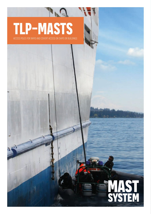## **TLP-MASTS**

 $\mathbb{R}^n$ 

access poles for rapid and covert access on ships or buildings